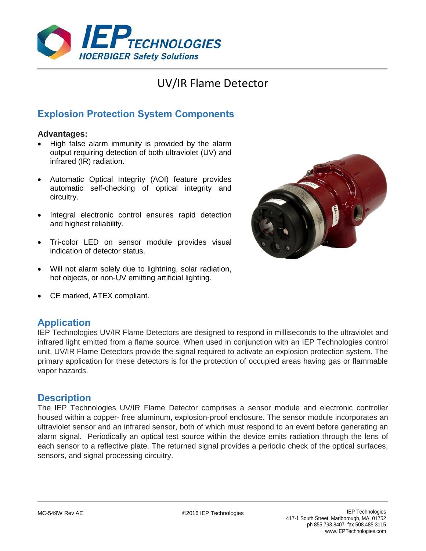

# UV/IR Flame Detector

## **Explosion Protection System Components**

#### **Advantages:**

- High false alarm immunity is provided by the alarm output requiring detection of both ultraviolet (UV) and infrared (IR) radiation.
- Automatic Optical Integrity (AOI) feature provides automatic self-checking of optical integrity and circuitry.
- Integral electronic control ensures rapid detection and highest reliability.
- Tri-color LED on sensor module provides visual indication of detector status.
- Will not alarm solely due to lightning, solar radiation, hot objects, or non-UV emitting artificial lighting.
- CE marked, ATEX compliant.

### **Application**

IEP Technologies UV/IR Flame Detectors are designed to respond in milliseconds to the ultraviolet and infrared light emitted from a flame source. When used in conjunction with an IEP Technologies control unit, UV/IR Flame Detectors provide the signal required to activate an explosion protection system. The primary application for these detectors is for the protection of occupied areas having gas or flammable vapor hazards.

### **Description**

The IEP Technologies UV/IR Flame Detector comprises a sensor module and electronic controller housed within a copper- free aluminum, explosion-proof enclosure. The sensor module incorporates an ultraviolet sensor and an infrared sensor, both of which must respond to an event before generating an alarm signal. Periodically an optical test source within the device emits radiation through the lens of each sensor to a reflective plate. The returned signal provides a periodic check of the optical surfaces, sensors, and signal processing circuitry.